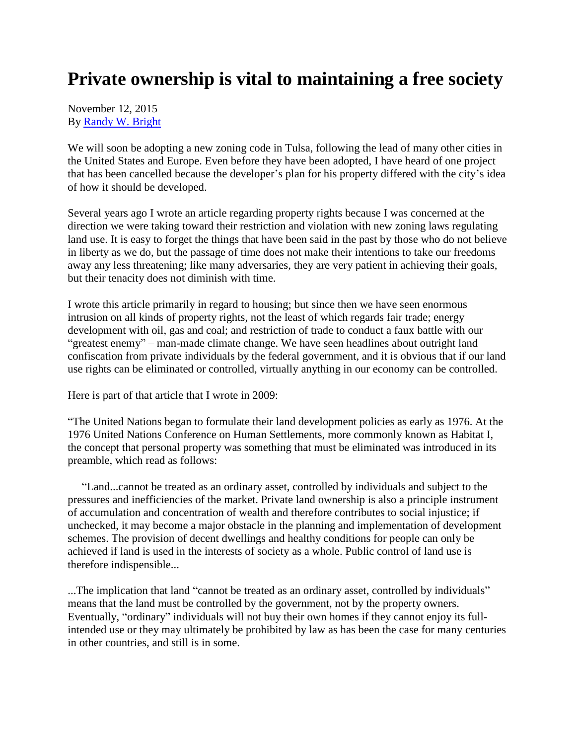## **Private ownership is vital to maintaining a free society**

November 12, 2015 By [Randy W. Bright](http://www.tulsabeacon.com/author/slug-o6yd1v)

We will soon be adopting a new zoning code in Tulsa, following the lead of many other cities in the United States and Europe. Even before they have been adopted, I have heard of one project that has been cancelled because the developer's plan for his property differed with the city's idea of how it should be developed.

Several years ago I wrote an article regarding property rights because I was concerned at the direction we were taking toward their restriction and violation with new zoning laws regulating land use. It is easy to forget the things that have been said in the past by those who do not believe in liberty as we do, but the passage of time does not make their intentions to take our freedoms away any less threatening; like many adversaries, they are very patient in achieving their goals, but their tenacity does not diminish with time.

I wrote this article primarily in regard to housing; but since then we have seen enormous intrusion on all kinds of property rights, not the least of which regards fair trade; energy development with oil, gas and coal; and restriction of trade to conduct a faux battle with our "greatest enemy" – man-made climate change. We have seen headlines about outright land confiscation from private individuals by the federal government, and it is obvious that if our land use rights can be eliminated or controlled, virtually anything in our economy can be controlled.

Here is part of that article that I wrote in 2009:

"The United Nations began to formulate their land development policies as early as 1976. At the 1976 United Nations Conference on Human Settlements, more commonly known as Habitat I, the concept that personal property was something that must be eliminated was introduced in its preamble, which read as follows:

 "Land...cannot be treated as an ordinary asset, controlled by individuals and subject to the pressures and inefficiencies of the market. Private land ownership is also a principle instrument of accumulation and concentration of wealth and therefore contributes to social injustice; if unchecked, it may become a major obstacle in the planning and implementation of development schemes. The provision of decent dwellings and healthy conditions for people can only be achieved if land is used in the interests of society as a whole. Public control of land use is therefore indispensible...

...The implication that land "cannot be treated as an ordinary asset, controlled by individuals" means that the land must be controlled by the government, not by the property owners. Eventually, "ordinary" individuals will not buy their own homes if they cannot enjoy its fullintended use or they may ultimately be prohibited by law as has been the case for many centuries in other countries, and still is in some.